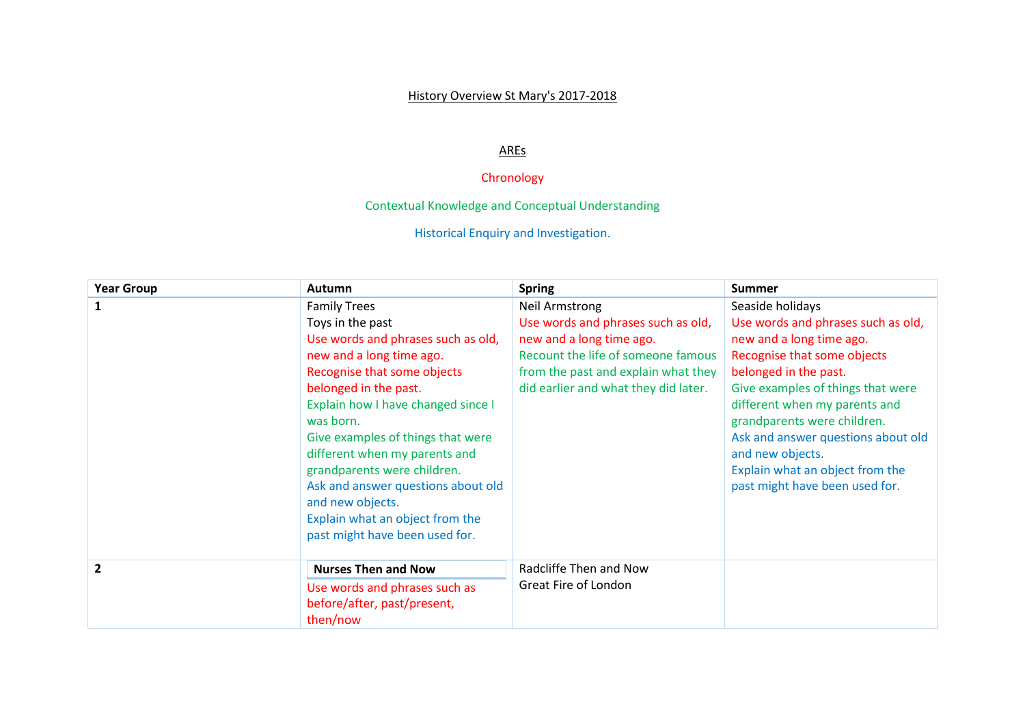## History Overview St Mary's 2017-2018

## AREs

## Chronology

Contextual Knowledge and Conceptual Understanding

Historical Enquiry and Investigation.

| <b>Year Group</b> | <b>Autumn</b>                                                                                                                                                                                                                                                                                                                                                                                                                                            | <b>Spring</b>                                                                                                                                                                                         | <b>Summer</b>                                                                                                                                                                                                                                                                                                                                                                  |
|-------------------|----------------------------------------------------------------------------------------------------------------------------------------------------------------------------------------------------------------------------------------------------------------------------------------------------------------------------------------------------------------------------------------------------------------------------------------------------------|-------------------------------------------------------------------------------------------------------------------------------------------------------------------------------------------------------|--------------------------------------------------------------------------------------------------------------------------------------------------------------------------------------------------------------------------------------------------------------------------------------------------------------------------------------------------------------------------------|
| 1                 | <b>Family Trees</b><br>Toys in the past<br>Use words and phrases such as old,<br>new and a long time ago.<br>Recognise that some objects<br>belonged in the past.<br>Explain how I have changed since I<br>was born.<br>Give examples of things that were<br>different when my parents and<br>grandparents were children.<br>Ask and answer questions about old<br>and new objects.<br>Explain what an object from the<br>past might have been used for. | Neil Armstrong<br>Use words and phrases such as old,<br>new and a long time ago.<br>Recount the life of someone famous<br>from the past and explain what they<br>did earlier and what they did later. | Seaside holidays<br>Use words and phrases such as old,<br>new and a long time ago.<br>Recognise that some objects<br>belonged in the past.<br>Give examples of things that were<br>different when my parents and<br>grandparents were children.<br>Ask and answer questions about old<br>and new objects.<br>Explain what an object from the<br>past might have been used for. |
| $\overline{2}$    | <b>Nurses Then and Now</b><br>Use words and phrases such as<br>before/after, past/present,<br>then/now                                                                                                                                                                                                                                                                                                                                                   | Radcliffe Then and Now<br>Great Fire of London                                                                                                                                                        |                                                                                                                                                                                                                                                                                                                                                                                |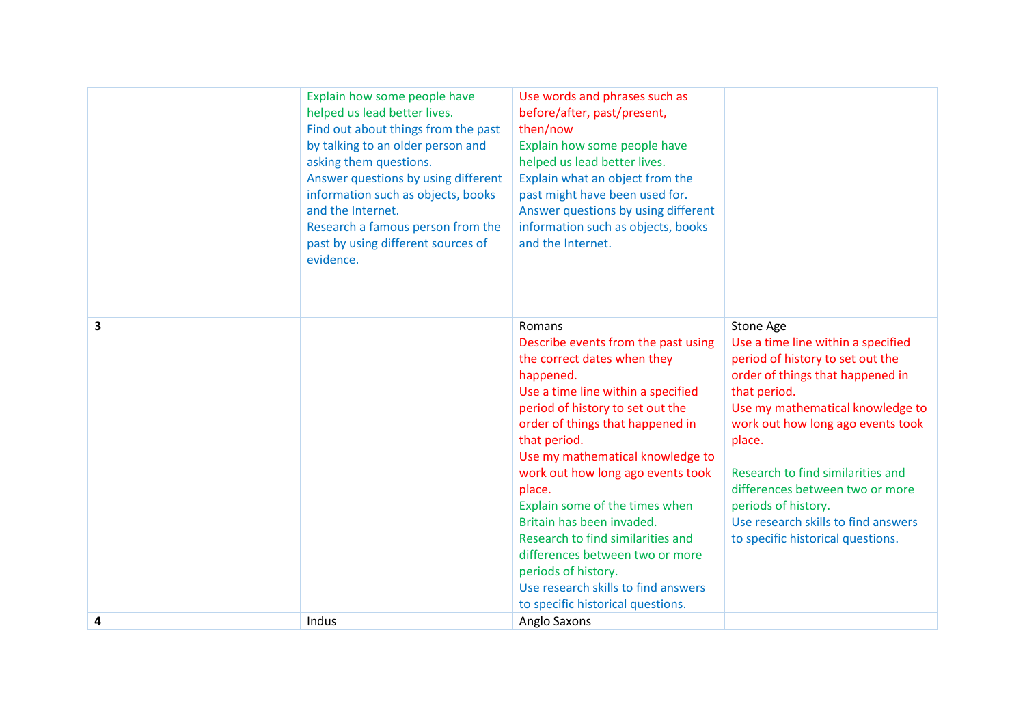|                         | Explain how some people have<br>helped us lead better lives.<br>Find out about things from the past<br>by talking to an older person and<br>asking them questions.<br>Answer questions by using different<br>information such as objects, books<br>and the Internet.<br>Research a famous person from the<br>past by using different sources of<br>evidence. | Use words and phrases such as<br>before/after, past/present,<br>then/now<br>Explain how some people have<br>helped us lead better lives.<br>Explain what an object from the<br>past might have been used for.<br>Answer questions by using different<br>information such as objects, books<br>and the Internet.                                                                                                                                                                                                                                      |                                                                                                                                                                                                                                                                                                                                                                                                       |
|-------------------------|--------------------------------------------------------------------------------------------------------------------------------------------------------------------------------------------------------------------------------------------------------------------------------------------------------------------------------------------------------------|------------------------------------------------------------------------------------------------------------------------------------------------------------------------------------------------------------------------------------------------------------------------------------------------------------------------------------------------------------------------------------------------------------------------------------------------------------------------------------------------------------------------------------------------------|-------------------------------------------------------------------------------------------------------------------------------------------------------------------------------------------------------------------------------------------------------------------------------------------------------------------------------------------------------------------------------------------------------|
| $\overline{\mathbf{3}}$ |                                                                                                                                                                                                                                                                                                                                                              | Romans<br>Describe events from the past using<br>the correct dates when they<br>happened.<br>Use a time line within a specified<br>period of history to set out the<br>order of things that happened in<br>that period.<br>Use my mathematical knowledge to<br>work out how long ago events took<br>place.<br>Explain some of the times when<br>Britain has been invaded.<br>Research to find similarities and<br>differences between two or more<br>periods of history.<br>Use research skills to find answers<br>to specific historical questions. | Stone Age<br>Use a time line within a specified<br>period of history to set out the<br>order of things that happened in<br>that period.<br>Use my mathematical knowledge to<br>work out how long ago events took<br>place.<br>Research to find similarities and<br>differences between two or more<br>periods of history.<br>Use research skills to find answers<br>to specific historical questions. |
| 4                       | Indus                                                                                                                                                                                                                                                                                                                                                        | Anglo Saxons                                                                                                                                                                                                                                                                                                                                                                                                                                                                                                                                         |                                                                                                                                                                                                                                                                                                                                                                                                       |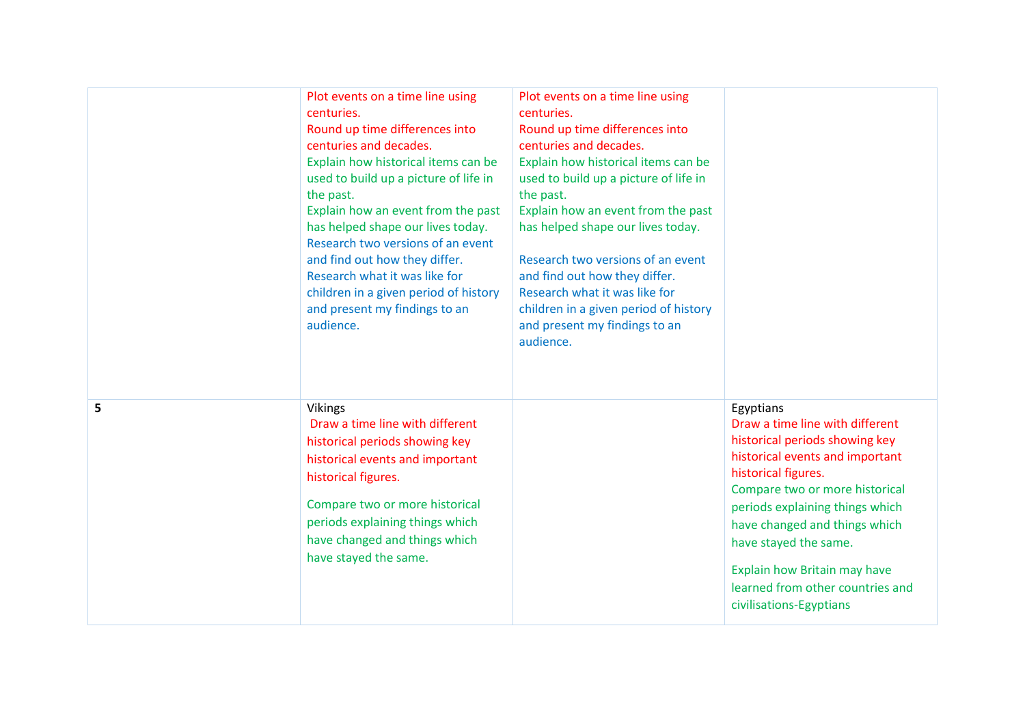|   | Plot events on a time line using<br>centuries.<br>Round up time differences into<br>centuries and decades.<br>Explain how historical items can be<br>used to build up a picture of life in<br>the past.<br>Explain how an event from the past<br>has helped shape our lives today.<br>Research two versions of an event<br>and find out how they differ.<br>Research what it was like for<br>children in a given period of history<br>and present my findings to an<br>audience. | Plot events on a time line using<br>centuries.<br>Round up time differences into<br>centuries and decades.<br>Explain how historical items can be<br>used to build up a picture of life in<br>the past.<br>Explain how an event from the past<br>has helped shape our lives today.<br>Research two versions of an event<br>and find out how they differ.<br>Research what it was like for<br>children in a given period of history<br>and present my findings to an<br>audience. |                                                                                                                                                                                                                                                                                                                                                                        |
|---|----------------------------------------------------------------------------------------------------------------------------------------------------------------------------------------------------------------------------------------------------------------------------------------------------------------------------------------------------------------------------------------------------------------------------------------------------------------------------------|----------------------------------------------------------------------------------------------------------------------------------------------------------------------------------------------------------------------------------------------------------------------------------------------------------------------------------------------------------------------------------------------------------------------------------------------------------------------------------|------------------------------------------------------------------------------------------------------------------------------------------------------------------------------------------------------------------------------------------------------------------------------------------------------------------------------------------------------------------------|
| 5 | <b>Vikings</b><br>Draw a time line with different<br>historical periods showing key<br>historical events and important<br>historical figures.<br>Compare two or more historical<br>periods explaining things which<br>have changed and things which<br>have stayed the same.                                                                                                                                                                                                     |                                                                                                                                                                                                                                                                                                                                                                                                                                                                                  | Egyptians<br>Draw a time line with different<br>historical periods showing key<br>historical events and important<br>historical figures.<br>Compare two or more historical<br>periods explaining things which<br>have changed and things which<br>have stayed the same.<br>Explain how Britain may have<br>learned from other countries and<br>civilisations-Egyptians |